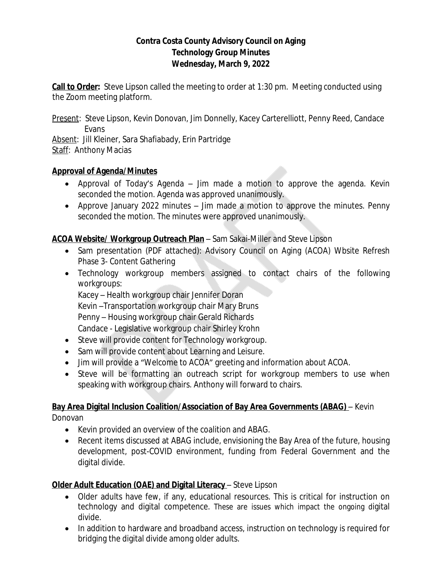# **Contra Costa County Advisory Council on Aging Technology Group Minutes Wednesday, March 9, 2022**

**Call to Order:** Steve Lipson called the meeting to order at 1:30 pm. Meeting conducted using the Zoom meeting platform.

Present: Steve Lipson, Kevin Donovan, Jim Donnelly, Kacey Carterelliott, Penny Reed, Candace Evans

Absent: Jill Kleiner, Sara Shafiabady, Erin Partridge Staff: Anthony Macias

# **Approval of Agenda/Minutes**

- · Approval of Today's Agenda Jim made a motion to approve the agenda. Kevin seconded the motion. Agenda was approved unanimously.
- · Approve January 2022 minutes Jim made a motion to approve the minutes. Penny seconded the motion. The minutes were approved unanimously.

# **ACOA Website/ Workgroup Outreach Plan** – Sam Sakai-Miller and Steve Lipson

- Sam presentation (PDF attached): Advisory Council on Aging (ACOA) Wbsite Refresh Phase 3- Content Gathering
- · Technology workgroup members assigned to contact chairs of the following workgroups:

Kacey – Health workgroup chair Jennifer Doran Kevin –Transportation workgroup chair Mary Bruns Penny – Housing workgroup chair Gerald Richards Candace - Legislative workgroup chair Shirley Krohn

- Steve will provide content for Technology workgroup.
- · Sam will provide content about Learning and Leisure.
- · Jim will provide a "Welcome to ACOA" greeting and information about ACOA.
- Steve will be formatting an outreach script for workgroup members to use when speaking with workgroup chairs. Anthony will forward to chairs.

# **Bay Area Digital Inclusion Coalition/Association of Bay Area Governments (ABAG)** – Kevin

Donovan

- · Kevin provided an overview of the coalition and ABAG.
- · Recent items discussed at ABAG include, envisioning the Bay Area of the future, housing development, post-COVID environment, funding from Federal Government and the digital divide.

# **Older Adult Education (OAE) and Digital Literacy - Steve Lipson**

- · Older adults have few, if any, educational resources. This is critical for instruction on technology and digital competence. These are issues which impact the ongoing digital divide.
- In addition to hardware and broadband access, instruction on technology is required for bridging the digital divide among older adults.